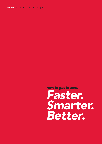# UNAIDS World AIDS Day Report | 2011

How to get to zero:

Faster. Smarter. Better.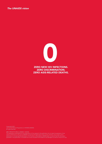The UNAIDS vision



ZERO NEW HIV INFECTIONS. ZERO DISCRIMINATION. ZERO AIDS-RELATED DEATHS.

Copyright © 2011 Joint United Nations Programme on HIV/AIDS (UNAIDS) All rights reserved

ISBN: 978-92-9173-904-2 | UNAIDS / JC2216E

The designations employed and the presentation of the material in this publication do not imply the expression of any<br>opinion whatsoever on the part of UNAIDS concerning the legal status of any country, territory, city or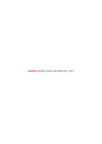UNAIDS World AIDS Day Report | 2011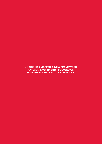UNAIDS has mapped a new framework for AIDS investments, focused on high-impact, high-value strategies.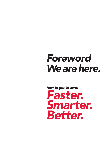# 05 Foreword 06 We are here.

12 **Smarter.** 36 How to get to zero: Faster. Better.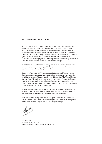#### TRANSFORMING THE RESPONSE

We are on the verge of a significant breakthrough in the AIDS response. The vision of a world with zero new HIV infections, zero discrimination, and zero AIDS-related deaths has captured the imagination of diverse partners, stakeholders and people living with and affected by HIV. New HIV infections continue to fall and more people than ever are starting treatment. With research giving us solid evidence that antiretroviral therapy can prevent new HIV infections, it is encouraging that 6.6 million people are now receiving treatment in low- and middle-income countries: nearly half those eligible.

Just a few years ago, talking about ending the AIDS epidemic in the near term seemed impossible, but science, political support and community responses are starting to deliver clear and tangible results.

Yet, to be effective, the AIDS response must be transformed. We need to move from a short-term, piecemeal approach to a long-term strategic response with matching investment. The road map for this vision is clear. The United Nations General Assembly set bold new targets in its historic 2011 *Political Declaration on HIV/AIDS: Intensifying Our Efforts to Eliminate HIV/AIDS*, with a focus on clear, time-bound goals designed to bring about the end of HIV and also improve human health across diverse communities.

To reach these targets and bring the end of AIDS in sight we must step on the accelerator. Joining with partners, UNAIDS has mapped a new framework for AIDS investments, focused on high-impact, high-value strategies.

The world cannot live up to the targets and spirit of the Political Declaration unless countries and donors commit to using the tools available, focusing them on the most effective programmes and investing accordingly.

Michel Sidibé UNAIDS Executive Director Under Secretary-General of the United Nations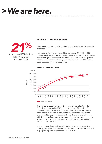



# THE STATE OF THE AIDS EPIDEMIC

More people than ever are living with HIV, largely due to greater access to treatment.

At the end of 2010, an estimated 34 million people [31.6 million–35.2 million] were living with HIV worldwide, up 17% from 2001. This reflects the continued large number of new HIV infections and a significant expansion of access to antiretroviral therapy, which has helped reduce AIDS-related deaths, especially in more recent years.



#### People Living with HIV

The number of people dying of AIDS-related causes fell to 1.8 million [1.6 million–1.9 million] in 2010, down from a peak of 2.2 million [2.1 million–2.5 million] in the mid-2000s. A total of 2.5 million deaths have been averted in low- and middle-income countries since 1995 due to antiretroviral therapy being introduced, according to new calculations by UNAIDS. Much of that success has come in the past two years when rapid scale-up of access to treatment occurred; in 2010 alone, 700 000 AIDSrelated deaths were averted.

The proportion of women living with HIV has remained stable at 50% globally, although women are more affected in sub-Saharan Africa (59% of all people living with HIV) and the Caribbean (53%).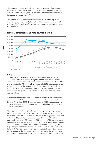There were 2.7 million [2.4 million–2.9 million] new HIV infections in 2010, including an estimated 390 000 [340 000–450 000] among children. This was 15% less than in 2001, and 21% below the number of new infections at the peak of the epidemic in 1997.

The number of people becoming infected with HIV is continuing to fall, in some countries more rapidly than others. HIV incidence has fallen in 33 countries, 22 of them in sub-Saharan Africa, the region most affected by the AIDS epidemic.



# New HIV Infections and AIDS-related deaths

# Sub-Saharan Africa

Sub-Saharan Africa remains the region most heavily affected by HIV. In 2010, about 68% of all people living with HIV resided in sub-Saharan Africa, a region with only 12% of the global population. Sub-Saharan Africa also accounted for 70% of new HIV infections in 2010, although there was a notable decline in the regional rate of new infections. The epidemic continues to be most severe in southern Africa, with South Africa having more people living with HIV (an estimated 5.6 million) than any other country in the world.

Almost half of the deaths from AIDS-related illnesses in 2010 occurred in southern Africa. AIDS has claimed at least one million lives annually in sub-Saharan Africa since 1998. Since then, however, AIDS-related deaths have steadily decreased, as free antiretroviral therapy has become more widely available in the region.

The total number of new HIV infections in sub-Saharan Africa has dropped by more than 26%, down to 1.9 million [1.7 million–2.1 million] from the estimated 2.6 million [2.4 million–2.8 million] at the height of the epidemic in 1997. In 22 sub-Saharan countries, research shows HIV incidence declined by more than 25% between 2001 and 2009. This includes some of the world's largest epidemics in Ethiopia, Nigeria, South Africa, Zambia and Zimbabwe. The annual HIV incidence in South Africa, though still high, dropped by a third between 2001 and 2009 from 2.4% [2.1%–2.6%] to 1.5% [1.3%–1.8%]. Similarly, the epidemics in Botswana, Namibia and Zambia appear to be declining. The epidemics in Lesotho, Mozambique and Swaziland seem to be levelling off, albeit at unacceptably high levels.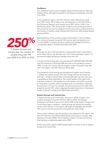## Caribbean

The Caribbean has the second highest regional HIV prevalence after sub-Saharan Africa, although the epidemic has slowed considerably since the mid-1990s.

In the Caribbean region, new HIV infections were reduced by a third from 2001 levels. HIV incidence has decreased by an estimated 25% in the Dominican Republic and Jamaica since 2001, while in Haiti it has declined by about 12%. Slowing HIV incidence and increasing access to HIV prevention services for pregnant women have led to a steep decline in the number of children newly infected with HIV and in AIDS-related deaths among children.

Unprotected sex is the primary mode of transmission in the Caribbean. The number of people living with HIV has also declined slightly since the early 2000s. Increased access to antiretroviral therapy has led to a considerable drop in mortality associated with AIDS.

### Asia

Although the rate of HIV prevalence is substantially lower in Asia than in some other regions, the absolute size of the Asian population means it is the second largest grouping of people living with HIV.

In South and South-East Asia, the estimated 270 000 [230 000–340 000] new HIV infections in 2010 was 40% less than at the epidemic's peak in 1996. In India, the country with the largest number of people living with HIV in the region, new HIV infections fell by 56%.

The prevalence of HIV among key populations at higher risk of infection – notably sex workers, people who inject drugs and men who have sex with men – is high in several Asian countries although over time, the virus is spreading to other populations. The overall trends in this region hide important variations in the epidemics, both between and within countries. In many Asian countries, national epidemics are concentrated in relatively few provinces. In China, for example, five provinces account for 53% of the people living with HIV<sup>1</sup>, while a disproportionately large share of Indonesia's burden is found in its Papua and West Papua provinces.<sup>2</sup>

### Eastern Europe and Central Asia

In Eastern Europe and Central Asia, there was a 250% increase in the number of people living with HIV from 2001 to 2010. The Russian Federation and Ukraine account for almost 90% of the Eastern Europe and Central Asia region's epidemic. Injecting drug use remains the leading cause of HIV infection in this region, although considerable transmission also occurs to the sexual partners of people who inject drugs.

There is little indication that the epidemic has stabilized in the region, with new HIV infections and AIDS-related deaths continuing to increase. After slowing in the early 2000s, HIV incidence in Eastern Europe and Central Asia has been accelerating again since 2008.

Unlike most other regions, AIDS-related deaths continue to rise in Eastern Europe and Central Asia.



In Eastern Europe and Central Asia, the number of people living with HIV rose 250% from 2001 to 2010.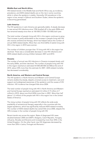# Middle-East and North Africa

HIV-related trends in the Middle East and North Africa vary, as incidence, prevalence, and AIDS-related deaths are on the rise in some countries, while in others the epidemic is stable. Generally, HIV prevalence in the region is low, except in Djibouti and Southern Sudan, where the epidemic is becoming generalized.

# Latin America

The HIV epidemics in Latin America are generally stable. A steady decrease in new annual HIV infections since 1996 levelled off in the early 2000s and has remained steady since then at 100 000 [73 000–135 000] each year.

The total number of people living with HIV in this region continues to grow. That increase is partly attributable to the increase in people living with HIV who receive antiretroviral therapy, which has helped reduce the number of annual AIDS-related deaths. More than one third (36%) of adults living with HIV in this region in 2010 were women.

The number of children younger than 15 living with HIV in this region has declined. There was a considerable decrease in new HIV infections and AIDS-related deaths among children between 2001 and 2010.

# Oceania

The number of annual new HIV infections in Oceania increased slowly until the early 2000s, and then declined. The number of people living with HIV in this region reached an estimated 54 000 [48 000–62 000] at the end of 2010, about 34% more than the estimate for 2001. AIDS-related mortality has decreased considerably.

### North America, and Western and Central Europe

The HIV epidemic in North America and Western and Central Europe remains stubbornly steady, despite universal access to treatment, care and support and widespread awareness of the epidemic and the causes of HIV infection. HIV incidence has changed little since 2004.

The total number of people living with HIV in North America and Western and Central Europe reached an estimated 2.2 million [1.9 million–2.7] million] in 2010, about one third (34%) more than in 2001. More than half (about 1.2 million) of the people with HIV in this region live in the United States of America.

The rising number of people living with HIV reflects the wide-scale availability of antiretroviral therapy, especially in the countries with the largest epidemics, which has significantly reduced AIDS-related mortality. The number of AIDS-related deaths has varied little since 2000, despite the 34% increase in the number of people living with HIV.

Recent trends vary across the region. Rates of diagnosed HIV cases doubled between 2000 and 2009 in Bulgaria, Czech Republic, Hungary, Lithuania, Slovakia and Slovenia and increased by more than 50% in the United Kingdom. On the other hand, new HIV diagnoses decreased by more than 20% in Latvia, Portugal and Romania.<sup>3</sup>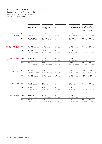# Regional HIV and AIDS statistics, 2010 and 2001

Regional estimates of adults and children newly infected with HIV, people living with HIV, and AIDS-related deaths

|                                               | <b>Adults and children</b><br>living with HIV | <b>Adults and children</b><br>newly infected<br>with HIV | Adult prevalence<br>$(\% )$                  | Adult and child<br>deaths due to AIDS | Young people (15-<br>24) prevalence (%)    |                      |                                                                    |
|-----------------------------------------------|-----------------------------------------------|----------------------------------------------------------|----------------------------------------------|---------------------------------------|--------------------------------------------|----------------------|--------------------------------------------------------------------|
|                                               |                                               |                                                          |                                              |                                       |                                            | Male                 | Female                                                             |
| <b>SUB-SAHARAN</b><br><b>AFRICA</b>           | 2010                                          | 22.9 million<br>$[21.6 - 24.1 \text{ million}]$          | 1.9 million<br>$[1.7 - 2.1 \text{ million}]$ | 5.0<br>$[4.7 - 5.2]$                  | 1.2 million<br>$[1.1 - 1.4$ million]       | 1.4<br>$[1.1 - 1.8]$ | 3.3<br>$[2.7 - 4.2]$                                               |
|                                               | 2001                                          | 20.5 million<br>$[19.1 - 22.2 \text{ million}]$          | 2.2 million<br>$[2.1 - 2.4$ million]         | 5.9<br>$[5.6 - 6.4]$                  | 1.4 million<br>$[1.3-1.6 \text{ million}]$ | 2.0<br>$[1.6 - 2.7]$ | 5.2<br>$[4.3 - 6.8]$                                               |
| <b>MIDDLE EAST AND</b><br><b>NORTH AFRICA</b> | 2010                                          | 470 000<br>[350 000-570 000]                             | 59 000<br>[40 000-73 000]                    | 0.2<br>$[0.2 - 0.3]$                  | 35 000<br>$[25 000 - 42 000]$              | 0.1<br>$[0.1 - 0.2]$ | 0.2<br>$[0.1 - 0.2]$                                               |
|                                               | 2001                                          | 320 000<br>[190 000-450 000]                             | 43 000<br>$[31 000 - 57 000]$                | 0.2<br>$[0.1 - 0.3]$                  | 22 000<br>$[9700 - 38000]$                 | 0.1<br>$[0.1 - 0.2]$ | 0.1<br>$[0.1 - 0.2]$                                               |
| <b>SOUTH AND</b><br><b>SOUTH-EAST ASIA</b>    | 2010                                          | 4.0 million<br>$[3.6 - 4.5$ million]                     | 270 000<br>[230 000-340 000]                 | 0.3<br>$[0.3 - 0.3]$                  | 250 000<br>[210 000-280 000]               | 0.1<br>$[0.1 - 0.2]$ | 0.1<br>$[0.1 - 0.1]$                                               |
|                                               | 2001                                          | 3.8 million<br>$[3.4-4.2 \text{ million}]$               | 380 000<br>$[340 000 - 420 000]$             | 0.3<br>$[0.3 - 0.4]$                  | 230 000<br>$[200 000 - 280 000]$           | 0.2<br>$[0.2 - 0.2]$ | 0.2<br>$[0.2 - 0.2]$                                               |
| <b>EAST ASIA</b>                              | 2010                                          | 790 000<br>[580 000-1.1 million]                         | 88 000<br>[48 000-160 000]                   | 0.1<br>$[0.1 - 0.1]$                  | 56 000<br>[40 000-76 000]                  | < 0.1                | < 0.1<br>$\left[ <0.1 - <0.1 \right]$ $\left[ <0.1 - <0.1 \right]$ |
|                                               | 2001                                          | 380 000<br>[280 000-530 000]                             | 74 000<br>$[54 000 - 100 000]$               | < 0.1<br>$[<0.1 - 0.1]$               | 24 000<br>$[16000 - 45000]$                | $0.1$                | < 0.1<br>$[<0.1 - <0.1]$ $[<0.1 - <0.1]$                           |
| <b>OCEANIA</b>                                | 2010                                          | 54 000<br>$[48 000 - 62 000]$                            | 3300<br>$[2400 - 4200]$                      | 0.3<br>$[0.2 - 0.3]$                  | 1600<br>$[1200 - 2000]$                    | 0.1<br>$[0.1 - 0.1]$ | 0.2<br>$[0.1 - 0.2]$                                               |
|                                               | 2001                                          | 41 000<br>[34 000-50 000]                                | 4000<br>$[3300 - 4600]$                      | 0.2<br>$[0.2 - 0.3]$                  | 1800<br>$[1300 - 2900]$                    | 0.1<br>$[0.1 - 0.2]$ | 0.2<br>$[0.2 - 0.3]$                                               |
| <b>LATIN AMERICA</b>                          | 2010                                          | 1.5 million<br>$[1.2 - 1.7 \text{ million}]$             | 100 000<br>$[73 000 - 140 000]$              | 0.4<br>$[0.3 - 0.5]$                  | 67 000<br>$[45 000 - 92 000]$              | 0.2<br>$[0.1 - 0.4]$ | 0.2<br>$[0.1 - 0.2]$                                               |
|                                               | 2001                                          | 1.3 million<br>$[1.0 - 1.7 \text{ million}]$             | 99 000<br>[75 000-130 000]                   | 0.4<br>$[0.3 - 0.5]$                  | 83 000<br>[50 000-130 000]                 | 0.2<br>$[0.1 - 0.6]$ | 0.1<br>$[0.1 - 0.2]$                                               |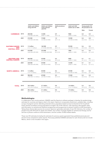|                                                            |      | <b>Adults and children</b><br>living with HIV              | <b>Adults and children</b><br>newly infected<br>with HIV      | Adult prevalence<br>(% )              | Adult and child<br>deaths due to AIDS                                 |                                                           |                                       |
|------------------------------------------------------------|------|------------------------------------------------------------|---------------------------------------------------------------|---------------------------------------|-----------------------------------------------------------------------|-----------------------------------------------------------|---------------------------------------|
|                                                            |      |                                                            |                                                               |                                       |                                                                       | Young people (15-<br>24) prevalence (%)<br>Male<br>Female |                                       |
| <b>CARIBBEAN</b>                                           | 2010 | 200 000<br>[170 000-220 000]                               | 12 000<br>[9400-17 000]                                       | 0.9<br>$[0.8 - 1.0]$                  | 9000<br>$[6900 - 12000]$                                              | 0.2<br>$[0.2 - 0.5]$                                      | 0.5<br>$[0.3 - 0.7]$                  |
|                                                            | 2001 | 210 000<br>[170 000-240 000]                               | 19 000<br>[16 000-22 000]                                     | 1.0<br>$[0.9 - 1.2]$                  | 18 000<br>[14 000-22 000]                                             | 0.4<br>$[0.2 - 0.8]$                                      | 0.8<br>$[0.6 - 1.1]$                  |
| <b>EASTERN EUROPE</b><br><b>AND</b><br><b>CENTRAL ASIA</b> | 2010 | 1.5 million<br>$[1.3-1.7$ millionl                         | 160 000<br>[110 000-200 000]                                  | 0.9<br>$[0.8 - 1.1]$                  | 90 000<br>[74 000-110 000]                                            | 0.6<br>$[0.5 - 0.8]$                                      | 0.5<br>$[0.4 - 0.7]$                  |
|                                                            | 2001 | 410 000<br>[340 000-490 000]                               | 210 000<br>[170 000-240 000]                                  | 0.3<br>$[0.2 - 0.3]$                  | 7800<br>[6000-11 000]                                                 | 0.3<br>$[0.2 - 0.3]$                                      | 0.2<br>$[0.1 - 0.2]$                  |
| <b>WESTERN AND</b><br><b>CENTRAL EUROPE</b>                | 2010 | 840 000<br>[770 000-930 000]                               | 30 000<br>$[22 000 - 39 000]$                                 | 0.2<br>$[0.2 - 0.2]$                  | 9900<br>[8900-11 000]                                                 | 0.1<br>$[0.1 - 0.1]$                                      | 0.1<br>$[-0.1 - 0.1]$                 |
|                                                            | 2001 | 630 000<br>[580 000-690 000]                               | 30 000<br>[26 000-34 000]                                     | 0.2<br>$[0.2 - 0.2]$                  | 10 000<br>[9500-11 000]                                               | 0.1<br>$[0.1 - 0.1]$                                      | 0.1<br>$[0.1 - 0.1]$                  |
| <b>NORTH AMERICA</b>                                       | 2010 | 1.3 million<br>$[1.0 - 1.9$ million]                       | 58 000<br>[24 000-130 000]                                    | 0.6<br>$[0.5 - 0.9]$                  | 20 000<br>[16 000-27 000]                                             | 0.3<br>$[0.2 - 0.6]$                                      | 0.2<br>$[0.1 - 0.4]$                  |
|                                                            | 2001 | 980 000<br>[780 000-1.2 million]                           | 49 000<br>[34 000-70 000]                                     | 0.5<br>$[0.4 - 0.7]$                  | 19 000<br>$[15 000 - 24 000]$                                         | 0.3<br>$[0.2 - 0.4]$                                      | 0.2<br>$[0.1 - 0.3]$                  |
| <b>TOTAL</b>                                               | 2010 | 34.0 million                                               | 2.7 million                                                   | 0.8                                   | 1.8 million                                                           | 0.3                                                       | 0.6                                   |
|                                                            | 2001 | [31.6-35.2 million]<br>28.6 million<br>[26.7-30.9 million] | $[2.4 - 2.9$ million]<br>3.1 million<br>$[3.0 - 3.3$ million] | $[0.8 - 0.8]$<br>0.8<br>$[0.7 - 0.8]$ | $[1.6 - 1.9$ million]<br>1.9 million<br>$[1.7 - 2.2 \text{ million}]$ | $[0.3 - 0.3]$<br>0.4<br>$[0.4 - 0.4]$                     | $[0.5 - 0.6]$<br>0.8<br>$[0.7 - 0.8]$ |

#### Methodologies

In collaboration with country partners, UNAIDS used the Spectrum software package to develop the epidemiology estimates for countries and regions cited in this report. Spectrum incorporates all pertinent, available data, including: surveys of pregnant women attending antenatal clinics; population-based surveys (conducted at the household level); sentinel surveillance among populations at higher risk of HIV infection; case reporting; demographic data; and information on antiretroviral treatment programmes and programmes to prevent mother-to-child transmission. Taking these diverse data sources into account, Spectrum generates estimates of new HIV infections, the number of people living with HIV both for adults and children, the number of people eligible for antiretroviral therapy and for services to prevent mother-to-child transmission, and the number of AIDS-related deaths.

These new HIV estimates (including the estimates for previous years) supersede those published previously and should not be compared to earlier reports. Previously published UNAIDS estimates for Latin America did not include Mexico, which is now included in this region.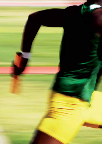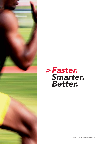

# Faster. Smarter. Better. >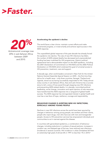



Antiretroviral coverage rose 20% in sub-Saharan Africa between 2009 and 2010.

# Accelerating the epidemic's decline

The world faces a clear choice: maintain current efforts and make incremental progress, or invest smartly and achieve rapid success in the AIDS response.

The unparalleled global response of the past decade has already forced the epidemic into decline. The rate of new HIV infections has fallen, the number of AIDS-related deaths has decreased and unprecedented funding has been mobilized for HIV programmes. Historic political agreements had a demonstrable impact on the AIDS epidemic, including the 2001 Declaration of Commitment on HIV/AIDS and the 2006 Political Declaration on HIV/AIDS which endorsed the goal of universal access to HIV prevention, treatment, care and support.

A decade ago, when world leaders convened in New York for the United Nations General Assembly Special Session on AIDS – the first time they did so for a health issue – only three countries, Senegal, Thailand and Uganda, stood out as having successfully responded to HIV. Today almost every country in sub-Saharan Africa, Asia and Latin America has a success story to tell, a story of lives saved through stopping new HIV infections and preventing AIDS-related deaths. In a decade, committed political leadership, social change, innovation and rapid injection of new resources have transformed the AIDS response into a vanguard of global health success. The AIDS response has reinvigorated interest in global health and now has a new face of hope, resilience, courage and responsibility.

# Behaviour change is averting new HIV infections, especially among young people

Declines in new HIV infections across the world have been spurred by changes in behaviour among young people, sex workers and their clients, people who inject drugs, men who have sex with men and transgender people. Access to HIV prevention services has empowered individuals and communities to act in earnest against the disease.

In countries with generalised epidemics, a combination of behaviour changes, including reductions in numbers of sexual partners, increases in condom use, and delayed age of first sex, have reduced new infections (incidence) in several countries. HIV incidence in urban Zimbabwe fell from an extremely high peak of almost 6% in 1991 to less than 1% in 2010.4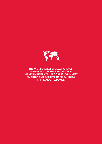

THE WORLD FACES A CLEAR CHOICE: maintain current efforts and make incremental progress, or invest smartly and achieve rapid success in the AIDS response.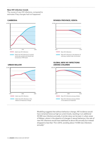## New HIV infection trends

The course of new HIV infections, compared to estimates if key changes had not happened



# URBAN MALAWI



# CAMBODIA NYANZA PROVINCE, KENYA



# GLOBAL NEW HIV INFECTIONS AMONG CHILDREN



Modelling suggests that without behaviour change, HIV incidence would have remained twice as high as current levels, resulting in an additional 35 000 new infections annually. A similar story can be seen in urban areas of Malawi, where in the absence of changes in sexual behaviour, the rate of new HIV infections would have stabilised at about 4% annually but instead dropped to less than 1% in 2010, avoiding about 15 000 new infections annually.<sup>5</sup>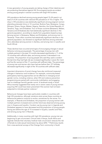A new generation of young people are taking charge of their destinies and are protecting themselves against HIV. Encouraging trends are evident among young people in several countries with large HIV burdens.

HIV prevalence declined among young people (aged 15–24 years) in at least 21 of 24 countries with national HIV prevalence of 1% or higher. The drop in HIV prevalence was statistically significant among pregnant women attending antenatal clinics in 12 countries: Burkina Faso, Botswana, Congo, Ethiopia, Ghana, Kenya, Malawi, Nigeria, Namibia, the United Republic of Tanzania, Togo, and Zimbabwe. Four of those countries (Botswana, Malawi, Tanzania and Zimbabwe) also had statistically significant declines in the general population, according to results from population-based surveys (among women in Botswana, Malawi and Zimbabwe, and among men in Tanzania). Three other countries had statistically significant declines in the general population, but showed no significant declines among antenatal clinic attendees (among women in Zambia, and among men in Lesotho and South Africa).

These declines have occurred amid signs of encouraging changes in sexual behaviour among young people. The percentage of young men with multiple partners in the past 12 months decreased significantly in 11 of the 19 countries with sufficient data, and among women it decreased in six countries. The proportion of young people who said they used a condom the last time they had high-risk sex increased significantly in seven (for men) and five (for women) of the 17 countries with sufficient data. The percentage of young men and women who have had sex before their 15<sup>th</sup> birthday decreased significantly in eight of the 18 countries with sufficient data.

Important dimensions of social change have also reinforced measured changes in behaviour and incidence. For example, community-based participatory learning approaches can be effective in changing social gender norms, including violence, when HIV and violence prevention programming are paired with community mobilization and engaging men to challenge harmful gender norms. A landmark study in South Africa recently suggested that nearly one in seven cases of young women acquiring HIV could have been prevented if the women had not been subjected to intimate partner violence.<sup>6</sup>

Behavioural changes have been particularly notable in countries with high HIV prevalence, although variations exist across these countries as behavioural patterns continue to evolve, sometimes for the worse. For example, in Rwanda and Zimbabwe, the proportion of young women with multiple partners increased and a similar trend was observed among young men in Guyana and Lesotho. Condom use by young men in Uganda and Zimbabwe appears to have decreased and the proportion of young people having sex before the age of 15 increased in Guyana, Lesotho and Haiti, and among young men in Rwanda.

Additionally, in many countries with high HIV prevalence, young men are beginning to get circumcised. Clinical trials in Kenya, South Africa and Uganda indicate that voluntary medical male circumcision reduces the risk of female-to-male sexual transmission by about 60%.7-9 Preliminary results from cross-sectional surveys of the Orange Farm community in South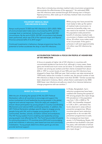Africa that is introducing voluntary medical male circumcision programmes demonstrate the effectiveness of this approach.10 An estimated 2000 new HIV infections were averted through 2010 among men in Kenya's Nyanza province, after scale-up of voluntary medical male circumcision programmes.

# Voluntary medical male circumcision in Kenya

Kenya could prevent 73 000 new HIV infections in 2011–2025 if 80% of uncircumcised adult males were circumcised by 2015, and that coverage level is maintained. Achieving this will require 860 000 circumcisions. By the end of 2010, 232 287 circumcisions had already been performed, which was 27% of the national target, and Nyanza Province achieved 62% of its 2015 target.<sup>11</sup>

Continued investments in behaviour change programmes have the potential to further accelerate the drop in new HIV infections.

While young men have proved the most ready to take up the option of medical male circumcision, to maximize its benefits older men also need to be reached. To achieve the population-wide prevention benefit of voluntary medical male circumcision in Eastern and Southern Africa, 20 million more males need to be circumcised. If this goal is achieved, it will avert approximately 3.4 million new HIV infections by 2015.

# Acceleration through a focus on people at higher risk of HIV infection

A focus on people at higher risk of HIV infection in countries with concentrated epidemics has borne fruit, although in many cases, these gains are limited and much more can be done. In Cambodia consistent condom use among sex workers and their clients increased from about 40% in 1997 to current levels of over 90% and new HIV infections have dropped to fewer than 2000 per year. Had condom use rates remained at 1994 levels, before the increase in condom use, the annual number of new HIV infections is likely to have been more than 50 000.<sup>12</sup> Similar success has been observed in Cotonou, Benin, where there is estimated to be 3000- 4000 fewer new infections annually as a result of an intensive behaviour change programme with sex workers.13

#### Invest in young leaders

With the aim of slowing the spread of HIV, the 2011 Political Declaration calls on all countries to encourage and support the active involvement of and leadership by young people in the global, regional and national responses. Particular steps are needed to ensure robust participation by young people in Country Coordinating Mechanisms and national AIDS coordinating bodies. In addition, the 2011 Political Declaration pledges specific steps to engage young people living with HIV, and to engage young people on HIV in communities, families, schools, recreation centres and workplaces. The HIV Young Leaders Fund is enabling new leadership among young people most affected by HIV. The Fund has provided 23 grants to community projects in 19 countries since 2010 and is encouraging youth-led initiatives in advocacy, peer-based services and community mobilization. Young people determine where grants go and also provide technical support.

In Dhaka, Bangladesh, harmreduction programmes have been credited with slowing the spread of HIV among people who inject drugs. HIV prevalence in this population rose from 1.4% in 2000 to 7% in 2007, but thereafter dropped to 5.3% in 2011, well below the levels observed in areas without prevention programmes. Where countries ignore harm-reduction programmes or do not take HIV prevention programmes to scale, the consequences have been severe. In St Petersburg, Russia, HIV prevalence has doubled in the past five years, with estimates of almost 60% HIV prevalence among people who inject drugs.<sup>14</sup>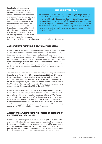People who inject drugs also need equitable access to nondiscriminatory health and social services. Studies in Eastern Europe and Central Asia show many people who inject drugs actively avoid seeking health services due to the risk of ostracism or fears that their health providers will report them to law enforcement authorities.<sup>15</sup> Such obstacles limit individuals' access to basic health services, such as counselling in sexual risk reduction and treating sexually transmitted

# Reducing harm in Iran

An estimated 15% (5%–25%) of people who inject drugs in Iran are living with HIV.18 In response, the country has created a network of more than 600 clinics that address drug injection, HIV and sexually transmitted infections.19 About half of all people who inject drugs in Iran receive opioid substitution, while 40 clean syringes and needles are distributed each year per person who injects drugs.<sup>20</sup> With this national network in place, HIV prevalence has declined steadily since peaking in 2005.<sup>21</sup>

infections, as well as antiretroviral therapy for people who are HIV-positive.

# ANTIRETROVIRAL TREATMENT is key to faster progress

While declines in new infections resulting from changes in behaviours show a clear return on the investments made in the HIV prevention response, initial declines are often followed by a stabilisation of rates of new infections. A pattern is emerging of initial peaks in new infections, followed by a reduction in new infections as prevention efforts are taken to scale and behaviours change, followed by a plateauing of rates of new infections, often at relatively high levels. Recent evidence suggests this plateau effect can be broken by the added prevention benefit of high levels of treatment coverage.16

The most dramatic increases in antiretroviral therapy coverage have occurred in sub-Saharan Africa, with a 20% increase between 2009 and 2010 alone. It is estimated that at least 6.6 million people in low- and middle-income countries are receiving HIV treatment. This is an increase of more than 1.35 million over the previous year. In low- and middle-income countries 47% of the 14.2 million eligible people living with HIV were on antiretroviral therapy at the end of 2010, compared to 39% at the end of 2009.

Universal access to treatment (defined as 80%, or greater coverage) has been achieved in Botswana, Namibia and Rwanda, while Swaziland and Zambia have achieved coverage levels between 70% and 80%. Across cities and villages in sub-Saharan Africa, from Harare to Addis Ababa to rural Malawi and South Africa's Kwazulu Natal province, introducing HIV treatment has dramatically reduced AIDS-related mortality.17 In low- and middle-income countries globally, treatment has averted 2.5 million AIDS deaths since 1995, the majority in the past few years.

# Access to treatment boosts the success of combination HIV prevention programmes

In addition to improving quality of life and reducing AIDS-related deaths, antiretroviral treatment is now recognized as preventing HIV transmission by reducing viral load and hence reducing the potential for transmission. Coupling treatment access with combination prevention options is pushing new HIV infections down to record levels. In countries with adult HIV prevalence in excess of 10%, HIV treatment in combination with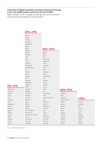# Proportion of eligible population receiving antiretroviral therapy in low- and middle-income countries at the end of 2010

Rapid increases in ART coverage are helping more countries achieve universal access to treatment, care and support.

# 20%–39% Algeria Angola Armenia Azerbaijan Bangladesh Bhutan Bolivia Bulgaria Burundi Cameroon CAR Chad China Colombia Côte d'Ivoire Equatorial Guinea Fiji Gambia Ghana Hungary India Indonesia Kazakhstan Lebanon Liberia Lithuania Malaysia Mauritania Mongolia Morocco Myanmar Niger Nigeria Panama Poland Rep. of Moldova Russian Fed Sao Tome and Principe Serbia Sierra Leone Sri Lanka Uzbekistan

# 40%–59%

Belarus Belize Benin Burkina Faso Cape Verde Congo El Salvador Eritrea Gabon Guatemala Guinea Guinea-Bissau Haiti Honduras Jamaica Lao PDR Lesotho Malawi Mali Mozambique Oman Papua New Guinea Peru Philippines Senegal South Africa Suriname Togo **Turkey** Uganda UR Tanzania Venezuela Viet Nam Zimbabwe

# 60%–79%

Argentina Brazil Costa Rica Dominican Rep Ecuador Ethiopia Georgia Kenya Mexico Paraguay Romania Swaziland Thailand Uruguay Zambia

# >80%

Botswana Cambodia Chile Comoros Croatia Cuba Namibia Nicaragua Guyana Rwanda

Slovakia

Source: UNAIDS and WHO, 2011.

0%–19%

Afghanistan DR Congo Djibouti Egypt Iran Kyrgyzstan Latvia Madagascar Maldives Mauritius Nepal Pakistan Somalia Sudan Tajikistan Tunisia Ukraine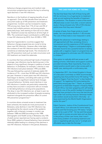behaviour-change programmes and medical male circumcision programmes may be the key to achieving rapid declines in new HIV infections.

Namibia is in the forefront of reaping benefits of such an approach. Over the last decade there has been a concurrent scale-up of HIV prevention and treatment programmes. Condom use has increased to nearly 75% among men; fewer than 11% of men and 2% of women had multiple partners; and young people, particularly boys, were starting to have sex at an older age. Treatment access has reached an all-time high of 90%. The combined impact contributed to a 60% drop in new HIV infections by 2010, from 22 000 in 1999.

Data from hyperendemic countries suggest that behaviour change programmes are crucial to bring down new HIV infections. However after initial dips, the numbers of new HIV infections tend to stabilize, sometimes at relatively high levels. The introduction of new HIV prevention tools such as male circumcision and HIV treatment can break this stalemate.

In countries that have achieved high levels of treatment coverage, new infections may be declining even in the absence of any significant changes in patterns of sexual behaviour. In Zimbabwe, for example, a decline in new HIV infections took place between 1995 and 2000. This was followed by a period of relatively stable HIV incidence of 1% – more than 50 000 new HIV infections per year. However in recent years new HIV infections have begun to decline, coinciding with scale-up of HIV treatment and no significant national level changes in sexual behaviour. Similarly, recent declines in new HIV infections in Lesotho are particularly noteworthy as they have occurred in conjunction with an increase in risk-taking behaviour among some populations. The drop in new HIV infections can, at least in part, be attributed to the increased number of people accessing treatment alongside the prevention effect of current HIV prevention programmes.<sup>22</sup>

In countries where universal access to treatment has been achieved, the results are more pronounced. In Botswana, early declines in new HIV infections may be explained by the natural course of the epidemic together with a dramatic increase in condom use between 1988 and 2000 (according to the 1988 Demographic and Health survey in Botswana only 10% of adult women reported ever having used a condom). Since 2000, patterns of sexual behaviour have remained relatively stable leading to a slowing of the declines in new HIV infections. However in this period, Botswana

# The case for home HIV testing

The fact that fewer than half of those living with HIV do not know it is a huge barrier to treatment scale up and realizing the benefits of treatment for prevention. The situation in some of the worst affected areas is even more dire: a recent national study in Kenya showed only 16% of HIV-infected adults knew that they were infected.<sup>23</sup>

A variety of tests, from finger pricks to mouth swabs, can now produce results in 1–20 minutes. The cost of these tests is now measured in cents.

Despite the advances in technology, testing is still approached with fear, accessing clinics is inconvenient and the experience of HIV testing is often stigmatizing.24 Stigma or anticipated stigma has been found to be a powerful barrier to testing uptake with a negative impact on programmes such as those designed to eliminate new HIV infections in children.25

One option to radically shift test access is selftesting at home. Information and support could be provided remotely. Most importantly, those who tested positive would need a clear access path to health care, starting with a confirmatory test.

In September 2011, the United Kingdom's House of Lords select committee on AIDS recommended repealing laws that prohibit home HIV testing.<sup>26</sup> The Terrence Higgins Trust has found "a clear bedrock of support" for legalizing HIV home-testing kits, particularly among gay men.<sup>27</sup> iTeach, an outreach programme at Edendale Hospital in KwaZulu-Natal in South Africa, has been grappling with self-testing models for one of the world's hardest hit locations<sup>28</sup> and they have pointed to the irony that test kits are kept under lock and key because otherwise health care workers would access them informally – an issue examined by the World Health Organization earlier this year.<sup>29</sup>

Edwin Cameron, Justice of the Constitutional Court in South Africa, is an advocate for home testing and has said that knowing your HIV status "simply ought to be a part of life". He has said that people have a right to access accurate tests and use them in the privacy of their own home; that it won't solve every problem of accessing treatment and care or negotiating safe sex, but is "a simple and affordable way to take the first step."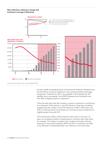# New infections, behaviour change and treatment coverage in Botswana



has also rapidly increased provision of antiretroviral treatment. Botswana was the first African country to implement a free national antiretroviral therapy programme. Treatment for HIV is now available in 30 hospitals and 130 satellite clinics countrywide. Since 2009, Botswana has maintained more than 90% of eligible people on treatment.<sup>30</sup>

There are early signs that this increase in access to treatment is contributing to acceleration of the decline in new HIV infections. Data from modelling suggests that the number of new HIV infections is 30% to 50% lower now than it would have been in the absence of universal access to treatment for eligible people living with HIV.

The full preventive effect of HIV treatment will be seen in the next 1–5 years, as increasing numbers of hyperendemic countries reach high levels of coverage. The massive increases in the numbers of people receiving treatment in South Africa between 2009 and 2010, for example, are likely to be reflected in substantially fewer new infections in the near future.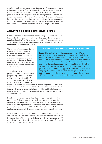A major factor limiting the prevention dividend of HIV treatment, however, is that more than 60% of people living with HIV are unaware of their HIV status. This limits access to treatment and care services and hampers prevention efforts. New approaches to HIV testing need to be explored to increase knowledge of HIV status. While integrating HIV testing into routine health services has helped to increase testing, it is insufficient. Introducing community-based approaches to testing may help to increase accessibility and uptake, and therefore, increase levels of knowledge of HIV status.

# Accelerating the decline in tuberculosis deaths

Without treatment and prophylaxis, people living with HIV have a 20–30 times higher lifetime risk of developing active tuberculosis, compared with people without HIV.31 In 2010, people living with HIV accounted for about 13% of all new tuberculosis cases worldwide, and about 360 000 people died from HIV-related tuberculosis<sup>32</sup>

The number of tuberculosis deaths among people living with HIV has been declining since 2004. Close collaboration between HIV and tuberculosis programmes can accelerate this decline further to meet the global goal of halving the number of HIV-related tuberculosis deaths by 2015.

Tuberculosis care, cure and prevention should increase among people living with HIV. Less than a third of people living with HIV sought care for tuberculosis at a clinic in 2010. Halving HIV-related

# South Africa boosts collaborative TB/HIV care

South Africa suffers the world's greatest burden of HIV and tuberculosis, yet it is making great strides to address both diseases. About 210 000 people with tuberculosis were tested for HIV in 2010 and 60% were identified as HIV-positive. More than half were started on antiretroviral therapy and three quarters received cotrimoxazole preventive therapy. In the same year, almost 60% of the 3.9 million people in HIV care were screened for tuberculosis, with 12% given isoniazid preventive therapy. An HIV counselling and testing campaign that included tuberculosis screening also resulted in 760 000 people with HIV being screened for tuberculosis, of which 120 000 were provided with isoniazid preventive therapy.<sup>34</sup>

tuberculosis deaths requires this rate to double, together with an increase in tuberculosis cure rates from 70% to 85%, detection of at least 80% of tuberculosis cases among people living with HIV, and isoniazid preventive therapy reaching at least 30% of people living with HIV who do not have active tuberculosis.

Regular screening and testing should be offered in countries with high prevalence of HIV and tuberculosis, and more sensitive and specific diagnostic tools and algorithms should be used. An inexpensive daily dose of isoniazid significantly reduces the risk that latent tuberculosis will progress to active disease.31 At least 30% of people living with HIV who do not have active tuberculosis should receive isoniazid preventive therapy.

Antiretroviral therapy should be initiated in a timely manner, because earlier treatment substantially reduces the odds of HIV-related tuberculosis illness and death. Meeting the global goal on halving the number of HIVrelated tuberculosis deaths by 2015 will also require the goal of universal access to HIV treatment to be met.<sup>33</sup>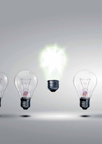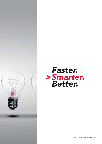

# Faster. > Smarter. Better.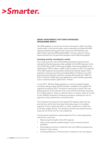

# Smart investments that drive increased programme impact

The AIDS epidemic is not over yet, but the end may be in sight if countries invest smartly. In the next five years, smart investments can propel the AIDS response towards achieving the vision of zero new HIV infections, zero discrimination and zero AIDS-related deaths. To ensure value for money, lessons learned from the past three decades must be effectively applied.

### Investing smartly, investing for results

The current economic crisis and dwindling international resources have reduced the financial resources made available for the AIDS response. At the end of 2010 about US\$ 15 billion was available. International assistance has declined from US\$ 8.7 billion in 2009 to US\$ 7.6 billion in 2010. The resilience of the AIDS response has somewhat cushioned the adverse impact of this reduction in resources, but the accumulated deficit in funding is one of the factors that prevented the world from reaching all the goals set in 2001 for 2010. The future of AIDS resourcing depends on smart investing: spending now to curtail the need to 'spend more – forever'.

In June 2011, Member States agreed on a new set of global targets, including making at least US\$ 22–24 billion available for the global HIV response annually by 2015. This level of resourcing is critical if the new global goals are to be achieved. Even more critical is that these resources are invested wisely in order to maximise return, to achieve value for money. A new UNAIDS Investment Framework provides a roadmap for such an approach, tying investments to concrete results.

The Investment Framework for the global HIV response starts with the premise that, while there have been tremendous gains in the global response to HIV, a systematic effort to match investment to needs has so far been largely lacking. The resulting mismatch has stretched scarce resources too thinly over too many objectives.

The framework represents a radical departure from current approaches, and has four clear aims:

- Maximizing the benefits of the HIV response
- Using country-specific epidemiology to ensure rational resource allocation
- Encouraging countries to implement the most effective programmes based on local context
- Increasing efficiency in HIV prevention, treatment, care and support.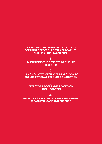# The framework represents a radical departure from current approaches, and has four clear aims:

1.

Maximizing the benefits of the HIV response

# 2.

Using country-specific epidemiology to ensure rational resource allocation

3.

effective programmes based on local context

4.

Increasing efficiency in HIV prevention, treatment, care and support.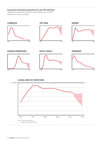# Investment framework projections for new HIV infections

Optimized investment will lead to rapid declines in new HIV infections in many countries.

# **CAMBODIA**







russian federation



south africa







GLOBAL NEW HIV INFECTIONS

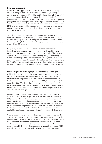## Return on investment

A more strategic approach to spending would achieve extraordinary results, averting at least 12.2 million new HIV infections, including 1.9 million among children, and 7.4 million AIDS-related deaths between 2011 and 2020 compared with a continuation of current approaches.<sup>35</sup> Under the Investment Framework, the additional investment of US\$ 1060 per lifeyear gained would be largely offset by savings in treatment costs alone. To achieve universal access to HIV treatment, prevention, care and support by 2015, and to maintain it, HIV programme funding needs to be scaled up from US\$ 16.6 billion in 2011 to US\$ 24 billion in 2015, before declining to US\$ 19.8 billion in 2020.

Value for money is best obtained when national AIDS responses make timely investments that are in the right places; utilize the right strategies; increase efficiency, reduce costs and promote innovation. Each of these tactics are critical, but when combined, they can lay the foundations for a sustainable AIDS response.

Supporting countries in the ongoing task of optimizing their responses through a clearer focus on investment has been embraced by major providers of international development assistance in AIDS. The investment approach is in the forefront of the new strategy being developed by the Global Fund to Fight AIDS, Tuberculosis and Malaria, as well as the HIV prevention strategy recently issued by the US President's Emergency Fund for AIDS Relief. An agenda is emerging which clearly aligns donor interests in value for money with implementing country interests in optimal results.

# Invest adequately, in the right places, with the right strategies

A full and early investment in the AIDS response can reap long-lasting dividends. Brazil has for years invested adequately and been at the forefront of ensuring access to HIV prevention and treatment services for the most vulnerable and marginalized. In 2008, the country invested more than US\$ 600 million, close to the estimate of what is needed for a full-scale response. The Russian Federation makes an allocation of similar magnitude, but the value for money realized is not as high as that of Brazil, as its investment strategy is not optimized.

In the Russian Federation, annual HIV-related investments in 2008 were close to US\$ 800 million, roughly equal to the total amount required in 2015. Yet new HIV infections are increasing, as little of the invested total goes towards harm-reduction programmes for people who inject drugs, men who have sex with men or sex workers. Of the US\$ 181 million spent on HIV-prevention programmes in 2008, only US\$ 8 million was invested for these populations. A shift in strategy to embrace harm reduction and reprioritize existing resources could substantially cut new HIV infections.

Ukraine is beginning to adopt effective programme approaches, but the scale of investments remains inadequate, incommensurate with the scale of the epidemic. Ukraine invested nearly one third of its prevention budget in 2008 towards key affected populations, yet the need is double that available for people who inject drugs, men who have sex with men and sex workers. UNAIDS modelling suggests that a doubling of annual AIDSrelated investments in Ukraine and increased coverage of HIV prevention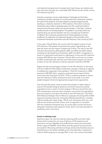and treatment programmes for people who inject drugs, sex workers and men who have sex with men could slash 65% off the annual number of new HIV infections by 2015.

A similar comparison can be made between Cambodia and Viet Nam. Cambodia is another example of a country where HIV investments matched the scale of the epidemic and were aligned to epidemiological trends, resulting in a dramatic reduction in HIV incidence. If this trend continues, Cambodia may be able to gradually reduce its HIV investments without compromising the gains made over the last decade. In Viet Nam, however, investments are not similarly aligned. The epidemic is primarily driven by injecting drug use and sex between men but coverage and investment in effective harm reduction programmes for these populations remain insufficient. An alignment of investments based on the principles of the investment framework could halve new HIV infections in the country by 2015.

In the case of South Africa, the country with the largest number of new HIV infections, HIV-related investments have grown significantly in the past two years and the impact is beginning to show. The rate of new HIV infections decreased by 22% between 2001 and 2009 and AIDS-related mortality has decreased by 21% between 2001 and 2010. A stagnation in levels of investments would lead to a stabilization of the new HIV infections at about 500 000 per year. However, if South Africa continues to increase its AIDS investments with domestic and international support, the annual number of new HIV infections could be reduced to less than 250 000.

Nigeria has the second largest number of new HIV infections in the world and has insufficient HIV-related investments, severely curtailing its capacity to address the magnitude of the epidemic. Total HIV investment in 2008 was about US\$ 400 million, against a projected annual need of three times more than that figure by 2015. There is massive potential to reduce new HIV infections if these investments were to be made in line with epidemiological trends and appropriate programmatic approaches.

Over the past few years, many countries have begun to taken steps to examine the epidemiological dynamics and direct resources towards populations most in need. A recent analysis in Morocco found that only 27% of prevention resources were invested in services for the populations that accounted for more than two thirds of new HIV infections. The 2012– 2016 National Strategic Plan for Morocco proposes allocating 63% of AIDS resources towards prevention among key affected populations, including 13% for people who inject drugs, 13% for men having sex with men, and 23% for sex workers and their clients. Such an approach is consistent with the investment framework and, as country after country has shown, adequate investment while epidemic levels remain low saves decades of escalating costs in the future.

#### Invest in reducing costs

Significant gains can also be made by reducing tariffs and other trade barriers that increase the unit cost of delivery of HIV treatment and prevention services. Rigidities and inefficiencies need to be eliminated. At the urging of UNAIDS, South Africa recently opened its procurement processes for life-saving antiretroviral drugs and by benchmarking its price expectations to the lowest available prices internationally, it reduced its costs for AIDS drugs by an average 50%. In turn, the country channelled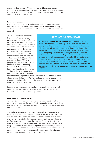the savings into making HIV treatment accessible to more people. Many countries have integrated programmes to stop new HIV infections among children in existing maternal, newborn and child health services, reducing costs and maximising efficiencies.

# Invest in innovation

Current programme approaches have reached their limits. To increase efficiencies as well as reduce costs, innovation in programme delivery methods as well as investing in new HIV prevention and treatment tools is required.

To provide additional options for HIV treatment and prevention programmes, the quest for effective vaccines, easy-to-use drugs, with fewer side effects and less chance of resistance developing, microbicides, pre-exposure prophylaxis drugs and better diagnostic tools must continue. At the same time, it is necessary to reassess programme delivery models that have outlived their utility. Almost 60% of all people living with HIV do not know their status, thereby impeding their ability to look after their own health and that of their loved ones. To change this, HIV testing must become simple and as ubiquitous

### South Africa Post-rape care

The Refentse Model for Post-Rape Care in South Africa is a multisectoral approach to post-rape care. Relatively inexpensive changes significantly improved service quality and health outcomes, with one-stop lab tests, violence counselling and testing services around the clock, and nursed-dispensed post-exposure prophylaxis (PEP). Integrating services reduced delays in accessing PEP and collecting medical evidence for legal purposes, and this resulted in improvements in care, the quality of clinical history and exams, provision of pregnancy testing and emergency contraception; STI treatment; HIV counseling and testing; trauma counseling, and referrals. This intervention was relatively inexpensive: when one-off development costs were excluded, the incremental cost per case was US\$58.36

as home-based pregnancy test kits. This will drive down the high costs of maintaining dedicated HIV testing and counselling centres as well as empowering individuals to access HIV treatment and care services in a timely and confidential manner.

Innovative service models which deliver on multiple objectives can also drive improved investment. For example responses to gender based violence need to integrate HIV components.

# Investment Framework for HIV

To ensure that this investment generates maximum results, the HIV response must focus on the most effective strategies, the critical enablers that are crucial to the success of HIV programmes, and synergies with other development sectors.

Just six basic programme activities are essential to an adequate HIV response and need to be delivered at scale according to the size of the relevant population. These activities work together for maximum impact and therefore have to be delivered as a package, where each element reinforces the other. Underlying the success of these basic activities are the enablers which make programme access possible and success more likely and respond to local context. Together with the directly delivered basic activities and enablers, AIDS-sensitive efforts within wider social and development sectors can be strategically placed within these broader efforts to maximize their impact on AIDS outcomes.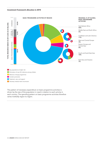#### Investment framework allocation in 2015



- Condom promotion
- Treatment, care, and support
- Voluntary medical male circumcision

The pattern of necessary expenditure on basic programme activities is driven by the size of the population in need in relation to each activity in each country. The spending pattern on basic programme activities therefore varies markedly region to region.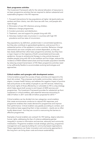# Basic programme activities

The Investment Framework calls for the rational allocation of resources to six basic programme activities that are required to deliver substantial and sustainable progress in the HIV response:

1. Focused interventions for key populations at higher risk (particularly sex workers and their clients, men who have sex with men, and people who inject drugs);

- 2. Elimination of new HIV infections among children;
- 3. Behaviour change programmes;
- 4. Condom promotion and distribution;
- 5. Treatment, care and support for people living with HIV;
- 6. Voluntary medical male circumcision in countries with high HIV prevalence and low rates of circumcision.

Key populations, by definition, predominate in concentrated epidemics, but they also contribute to generalized epidemics, and account for a substantial portion of the epidemic in some countries. Behaviour change interventions are more complex and context-dependent, so they are less clearly defined than other basic programme activities, but they have a major impact on the trajectory of both concentrated and low-scale epidemics. Access to antiretroviral therapy is a key activity because it enables people living with HIV to be healthier and live longer, reduces the incidence of AIDS-related tuberculosis and has broader population benefits by reducing onward transmission of HIV. Basic programme activities need to be sufficiently flexible to accommodate evolving technologies and approaches.

# Critical enablers and synergies with development sectors

Critical enablers propel the success of basic activities and respond to the local risk context. They empower and enable communities, reduce social stigma, increase health literacy, and address the negative impact of punitive laws and policies on the ability of people to use HIV services. Advancing the human rights of those affected by or vulnerable to HIV is a key strategy which helps assure both access to and impact of AIDS services and programmes. The Investment Framework provides for substantial up-front investment in critical enablers, with essential resources amounting to US\$ 5.9 billion in 2011 and US\$ 3.4 billion projected for 2015.35

Critical enablers can be divided into two categories: social enablers that create environments conducive to rational HIV responses; and programme enablers that create demand for programmes and improve their performance. Critical enablers vary greatly according to context, and the evidence base supporting them is less consistent – results are so often locally determined – but they are crucial to overcoming the barriers to effective programmes.

Examples of social enablers are outreach for HIV testing, stigma reduction, human rights, addressing the fear of violence addressing gender inequality in access to information and services, advocacy and community mobilization. Programme enablers include strategic planning, programme management and capacity-building for community-based organizations. These organizations can foster innovation and community approaches in the long term can bring down costs and ensure sustainability.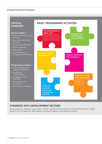## Proposed Investment Framework

# **CRITICAL ENABLERS**

# Social enablers

- • Political commitment and advocacy
- • Laws, legal policies and practices
- Community mobilization
- Stigma reduction
- • Mass media
- • Local responses to change risk environment

# Programme enablers

- • Community centered design and delivery
- Programme communication
- Management and incentives
- Procurement and distribution
- Research and innovation



# synergies with development sectors

Social protection, Education, Legal reform, Gender equality, Poverty reduction, Gender-based violence, Health systems (incl. STI treatment, Blood safety), Community systems, and Employer practices.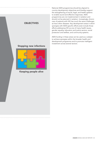# **OBJECTIVES**

National AIDS programmes should be aligned to country development objectives and thereby support the strengthening of social, legal, and health systems to enable sound and effective responses. AIDS programmes are not implemented in isolation and should not be planned in isolation. Increasingly, chronic care of patients with HIV has much the same challenges as have other diseases. Key development areas in which synergies with AIDS-specific efforts exist include those efforts addressing HIV as one of many health issues, gender equality, education and justice sectors, social protection and welfare, and community systems.

AIDS funding in these areas can be used as a catalyst to achieve synergies within the broader health and development programme and to promote intelligent investment across several sectors.

# Stopping new infections



Keeping people alive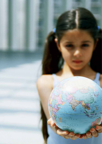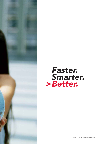

# Faster. Smarter. Better. >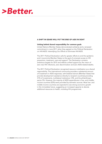

# A shift in gears will put the end of AIDS in sight

# Uniting behind shared responsibility for common goals

United Nations Member States demonstrated solidarity and a renewed commitment in June 2011 when they agreed on the Political Declaration on HIV/AIDS: Intensifying Our Efforts to Eliminate HIV/AIDS.

The 2011 Political Declaration calls for greater efforts to end the epidemic and it recommits Member States to the goal of universal access to HIV prevention, treatment, care and support. The Declaration contains ambitious targets for 2015 and reflects unified support for the vision of zero new HIV infections, zero discrimination and zero AIDS-related deaths.

The 2011 Political Declaration recognized resource mobilization as a shared responsibility. The international community provides a substantial amount of investment in AIDS responses, with bilateral donors (Member States that provide development assistance directly to recipient countries) providing 31% of investments, multilateral institutions 12%, and the philanthropic sector 5%. However, the majority of AIDS expenditures in low- and middleincome countries (52%) were provided by domestic sources. Most low- and middle-income countries are expected to see strong economic growth in the immediate future, suggesting an increased capacity to devote additional resources to health, including HIV programmes.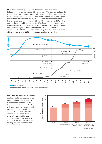# New HIV infections, global political responses and investments

Political commitment has helped drive increased HIV investment and turn the curve of new infections downwards. If all low- and middle-income countries were to allocate resources in proportion to their HIV burden, domestic publicsector allocations would double by 2017 and continue to rise thereafter. Economic growth alone should add 22% to AIDS investment by 2015, while moving closer to health expenditure of 15% of government revenue (as per the Abuja Declaration for Africa) could add a further 15%. Finally, allocating these health budgets to HIV according to disease burden could add an additional 24%. All of these measures taken together could add as much as 62% to investments by 2015, with increases continuing thereafter.



Resources available for HIV in low- and middle-income countries

# Projected HIV domestic resources available under various scenarios

While countries in all regions can expand their allocations for HIV, those hardest hit are also often those with least resources. Hence, there is the need for international donors to continue supporting programmes, especially in the poorest and worst affected countries. After an increased initial investment of US\$ 2.6 billion annually, the donor funding required is estimated to decline after 2015.

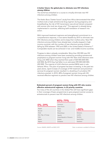# A better future: the global plan to eliminate new HIV infections among children

The world has embarked on a course to virtually eliminate new HIV infections among children.

The Kesho Bora ("better future") study from Africa demonstrated that when mothers took a triple antiretroviral drug regimen during pregnancy and breastfeeding, the risk of HIV transmission was almost halved compared with women who took two drugs only.<sup>37</sup> This approach is already being implemented in countries, reflecting swift translation of research into action.

With improved treatment regimens and strengthened commitment to a comprehensive response, it now seems feasible by 2015 to eliminate new HIV infections among children and to keep their mothers alive. New HIV infections among children have already been virtually stopped in highincome countries, with the number of new infections among children falling by 93% between 1992 and 2005 in the United States of America.<sup>38</sup> Comparable results can be achieved in low- and middle-income countries.

Progress to date is already considerable. More than 350 000 new HIV infections among children have been averted by providing antiretroviral prophylaxis to pregnant women living with HIV. New child infections were rising until 2002 when they reached their peak of 560 000 [500 000– 630 000]. By 2010 they had fallen to an estimated 390 000 [340 000– 450 000]. The majority of child infections averted (86%) were in sub-Saharan Africa. The pace of progress has been increasing. In the past two years alone, rapid increase of coverage of HIV treatment and prevention services for pregnant women resulted in a doubling of cumulative HIV infections averted. In 2010, 48% of pregnant women living with HIV received effective regimens to prevent new HIV infections among children.

# Estimated percent of pregnant women living with HIV who receive effective antiretroviral regimens, in 22 priority countries

Too many of the 22 countries in the Global Plan still have significant gaps in their coverage of basic programmes to give pregnant women access to antiretrovirals to prevent new HIV infections among children.

**Tanzania** 

|                    | $40\% - 79^{\circ}$       |
|--------------------|---------------------------|
| 0%-39%             | Cameroon<br>Côte d'Ivoire |
| Angola             | Ghana                     |
| Burundi            | Kenya                     |
| Chad               | Mozambique                |
| Dem. Rep. of Congo | Uganda                    |
| India              | United Republic of        |
| Malawi             | Zambia                    |
| Nigeria            | Zimbabwe                  |

# 40%–79%



Botswana Lesotho Namibia South Africa Swaziland

Source: UNAIDS, UNICEF and WHO, 2011. Note: no estimate is available for Ethiopia.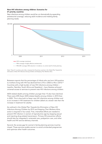# New HIV infections among children: Scenarios for 21 priority countries

New infections among children would be cut dramatically by expanding antiretroviral coverage, reducing adult incidence and meeting family planning needs.



Note: These 21 countries, plus India, comprise the 22 priority countries in the Global Plan Towards the Elimination of New HIV infections Among Children and Keeping Their Mothers Alive.

Botswana reports that the percentage of infants who are born HIV-positive to mothers living with HIV has declined from 21% in 2003 to 4% in 2010.<sup>39</sup> Countries with a high burden of new HIV infections among children – Lesotho, Namibia, South Africa and Swaziland – have likewise achieved universal access to services to prevent new HIV infections among children.

AIDS-related deaths among children younger than 15 also have declined. There were 20% fewer AIDS-related deaths among children in 2010 than in 2005. This is due both to fewer new HIV infections among children and to an increase in HIV treatment for children (albeit at a slower rate than the increase in treatment for adults).

As outlined in the Global Plan Towards the Elimination of New HIV Infections Among Children by 2015 and Keeping Their Mothers Alive, action is required in four areas. First, intensified efforts are needed to prevent HIV infection in women of reproductive age by stopping sexual and injecting-drug-related transmission. Primary HIV prevention efforts should also be integrated in antenatal care, postpartum care, and other health and HIV service-delivery channels.

Second, the access gap for women's family-planning services must be closed. These services enable women to avoid unintended pregnancies and optimize other health outcomes.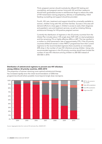Third, pregnant women should routinely be offered HIV testing and counselling, and pregnant women living with HIV and their newborns should have guaranteed access to antiretroviral drugs to reduce the odds of HIV transmission during pregnancy, delivery or breastfeeding. Infant feeding counselling and support should be provided.

Fourth, HIV care, treatment and support should be universally available to women, children living with HIV, and their families. Success in this area will demand efforts to close gaps in children's access to early infant diagnosis and paediatric care and treatment services, as well as initiating lifelong antiretroviral therapy for HIV-positive pregnant women.

Currently the distribution of regimens in the 22 priority countries from the Global Plan includes about 13% single dose NVP, 32% on dual prophylaxis and the remaining 7% on highly effective ARVs or ART. This has resulted in a mother to child transmission rate of approximately 27%. If the 22 priority countries shifted all women in their PMTCT programmes from their current regimens to the recommended regimens there would be an immediate 20% drop in the number of new HIV infections among children. Using only recommended regimens in the 22 priority countries would have limited the number of new HIV infections among children to 280 000 instead of 350 000 in 2010.

# Distribution of antiretroviral regimens to prevent new HIV infections among children: 22 priority countries, 2004–2010

The proportion of women receiving more optimal antiretroviral therapy has increased rapidly since the initial recommendation of 2006 that programmes should where possible move beyond single dose nevirapine.



Source: Aggregated data from national HIV estimates files, UNAIDS 2011.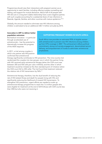Programmes should view their interactions with pregnant women as an opportunity to reach families, including offering couples counselling and testing, and support for mutual disclosure. About half of all people with HIV who are in a long-term stable relationship have a sero-negative partner, with such couples accounting for a substantial share of new infections in Rwanda, Uganda, Zambia, and other countries with mature epidemics.40-42

Globally, the amount needed to eliminate new HIV infections among children is estimated to be an additional US\$ 1.5 billion annually by 2015.

# Innovation in ART to deliver better population outcomes

Biomedical innovation – in particular through accelerated use of antiretrovirals – has the potential to dramatically increase the progress of the AIDS response.

In 2011, a trial among couples in which one partner was HIV-positive confirmed that antiretroviral

# Supporting pregnant women in South Africa

South Africa now provides an estimated 95% of eligible women with antiretrovirals to prevent new HIV infections among children, up from 57% coverage in 2007. This achievement reflects political commitment, strong civil society engagement, decentralized service delivery, and empowerment of nurses to administer antiretroviral prophylaxes.

therapy significantly contributes to HIV prevention. The nine-country trial randomized the couples into two groups: one in which the partner living with HIV received early antiretroviral therapy (when the CD4 count was between 350 and 550 cells per cubic millilitre); and the other in which treatment would be initiated at the then standard point of initiation (when the CD4 count fell to 250 cells). The trial found that treatment reduced the relative risk of HIV transmission by 96%.<sup>16</sup>

Antiretroviral therapy, therefore, has the dual benefit of reducing the risk of HIV-related illness and death for people living with HIV, and significantly reducing the likelihood of onward HIV transmission. To strengthen HIV prevention, urgent efforts are needed to scale up antiretroviral therapy programmes to reach the 7.6 million people who were eligible for treatment at the end of 2010 (those with CD4 counts less than 350) but who were not receiving it.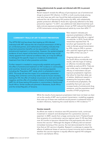# Using antiretrovirals for people not infected with HIV, to prevent acquisition

Recent research reveals the efficacy of pre-exposure use of antiretroviral drugs to prevent HIV infection. In 2010, a multi-country study among men who have sex with men found that daily antiretroviral tablets reduced the risk of becoming HIV positive by 44%, with substantially greater protection afforded to those who rigorously adhered to the daily preventive regimen.43 In 2011, two additional trials determined that such daily oral pre-exposure prophylaxis, known as PrEP, reduced the likelihood of HIV transmission among heterosexual adults by more than 60%.<sup>44,45</sup>

# Community trials of ART to boost prevention

The HPTN 052 trial has shown that treating an HIV-infected individual with ART reduces the risk of sexual transmission of HIV to an uninfected partner, and mathematical modeling indicates that important prevention benefits can be expected from scaled-up antiretroviral treatment in communities. However, the epidemiological evidence of such impact at the level of entire countries may not be clearly apparent from national surveillance data, as it may be difficult to distinguish the specific impact on incidence of antiretroviral treatment from that of other prevention activities.

Further research is needed to unequivocally establish and quantify the effect of antiretroviral treatment on HIV incidence in communities and countries. Several such studies are now being prepared, including the 'Population ART' study, which is scheduled to start in 2012. The study will test the impact of a combination prevention strategy that combines community-wide house-to-house voluntary testing for HIV, the offer of medical circumcision to men who test HIVnegative, and the offer of immediate initiation of antiretroviral therapy (ART) for all those testing HIV-positive in communities in Zambia and South Africa. Similar studies are planned in Botswana, South Africa and the United Republic of Tanzania.

New research indicates preexposure prophylaxis is effective when applied topically as a vaginal microbicide. In 2010, South African researchers reported that 1% tenofovir gel lowered the risk of male-to-female sexual transmission by 39%, rising to 54% in women who used the vaginal gel for more than 80% of their sex acts.46

Ongoing trials aim to confirm the South Africa microbicide trial results, with the hope of making an effective microbicide widely available as early as 2014. Trials are also under way to investigate the efficacy of intermittent oral preexposure prophylactic regimens that allow for less-than-daily use of tablets. Additional research is assessing the long-term safety of antiretroviral prophylaxis, the possibility that such use could increase levels of antiretroviral drug resistance, and the population-level benefits of PrEP programmes.

While the results of pre-exposure prophylaxis trials have not been as clearcut as the results of ART use to prevent transmission, modelling suggests that scale-up of these new methods would prevent a substantial share of incident infections, hastening the overall decline in HIV incidence.<sup>47-49</sup>

#### Vaccine research

As efforts are made to introduce new HIV prevention tools, continued investment in research and development for a preventive vaccine is essential. In 2009, results from a large community trial in Thailand found that recipients of a combination vaccine regimen were 31.2% less likely over 42 months to become infected than trial participants who did not receive the vaccine.50 Although this degree of efficacy did not warrant immediate licensing of the vaccine, the trial demonstrated for the first time that an HIV vaccine is feasible. Research is underway to assess the effects of additional doses of vaccine to boost immunity and to determine whether this vaccine regimen is equally effective against HIV subtypes found in sub-Saharan Africa.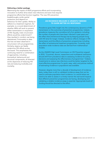# Delivering a better package

Maximising the impact of AIDS programme efforts and incorporating innovation to further drive down new infections and save lives requires programme efforts that function together. The new HIV prevention

breakthroughs confer partial protection and depend on behaviour for their uptake. Ability to adhere to a treatment regimen, for example, is a crucial determinant of whether ARVs will work to prevent either transmission or acquisition of HIV. Equally, male circumcision efforts would be undermined if they resulted in condom use being abandoned. Fortunately to date this has not been observed in circumcision roll-out programmes. Similarly, stigma can fatally undermine HIV efforts across the board. This emphasizes the continuing need for a combination of approaches, including biomedical, behavioural and structural components, all directed at the objectives of reducing HIV risk and reducing morbidity and mortality.

# An incidence measure is urgently needed to guide better HIV responses

Prevalence gives little insight into the contemporary dynamics of HIV transmission or the outcomes of prevention programmes. Indeed, prevalence measures the cumulative toll of an epidemic including the number of people who have been infected in past years and the effect that antiretroviral therapy has by keeping people living with HIV alive for longer. Instead, incidence reflects changes in HIV transmission and the effects of prevention programmes including the effect of antiretroviral treatment programmes. Currently, most population-wide incidence data are derived from mathematical models.

As the UNAIDS High Level Commission on HIV Prevention argued in 2010, "Countries, donors, researchers and multilateral institutions should shift from prevalence data to assessing incidence for policy decisions and assessing the effectiveness of programmes." Indeed, investments to reduce new infections could be better targeted to the most effective programmes if a quick, easy, valid, and precise method of estimating incidence in populations was available.

However, despite more than a decade of development of incidence tests, today there is still no validated incidence assay that can be used to estimate population-level incidence. In a world where we need to be able to assess in a timely manner the real-world impacts that different prevention programmes are having, developing and validating a reliable incidence essay is essential. Appropriate levels of funding should be directed to this effort.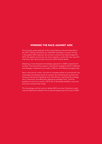# Winning the race against AIDS

The visionary goals adopted at the United Nations General Assembly in the 2011 Political Declaration on HIV/AIDS heralded a moment of truth in the global AIDS response. By uniting to achieve the stated targets for 2015, the global community can move towards a world with zero new HIV infections, zero discrimination and zero AIDS-related deaths.

Adopting a more focused and strategic approach to AIDS is essential for success. The world will succeed in meeting the targets for 2015 if sufficient and strategic investments are made in efficient and effective programmes.

Now is the time for action, the time to translate words of commitment into meaningful and lasting results for people. By mobilizing the political will, showing international solidarity and commitment, improving the strategic use of resources, and effectively deploying available tools, it will be possible to arrive at a world in 2015 that is decidedly healthier, more just and more inclusive than today.

The knowledge and the tools to defeat AIDS now exist. Decisions made now will determine whether this is truly the beginning of the end of AIDS.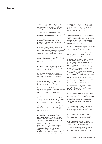1. Wang L et al. The 2007 estimates for people at risk for and living with HIV in China: progress and challenges. Journal of Acquired Immune Deficiency Syndromes, 2009, 50(4):414–18.

2. Country report on the follow-up to the Declaration of Commitment on HIV/AIDS. Jakarta, National AIDS Commission Indonesia, 2008.

3. HIV/AIDS surveillance in Europe 2009. Stockholm, European Centre for Disease Prevention and Control, and WHO Regional Office for Europe, 2010.

4. Updated analyses based on Hallett TB et al. Assessing evidence for behaviour change affecting the course of HIV epidemics: a new mathematical modelling approach and application to data from Zimbabwe. Epidemics, June 2009, 1(2):108-17.

5. Bello G et al. Evidence for changes in behaviour leading to reductions in HIV prevalence in urban Malawi. Sexually Transmitted Infections 2011, 87:296–300.

6. Jewkes RK et al. Intimate partner violence, power inequity, and incidence of HIV infection in young women in South Africa: a cohort study. The Lancet, 2010, 376:41–48.

7. Bailey RC et al. Male circumcision for HIV prevention in young men in Kisumu, Kenya: a randomized controlled trial. The Lancet, 2007, 369:643–656.

8. Gray RH et al. Male circumcision for HIV prevention in men in Rakai, Uganda: a randomized trial. The Lancet, 2007, 369:657–666.

9. Auvert B et al. Randomized, controlled intervention trial of male circumcision for reduction of HIV infection risk: the ANRS 1265 trial. Public Library of Science Medicine, 2005, 2:e298.

10. Auvert B et al. Effect of the Orange Farm (South Africa) male circumcision roll-out (ANRS-12126) on the spread of HIV. 6th IAS Conference on HIV Pathogenesis, Treatment, and Prevention, Rome, 17–20 July, 2011. Abstract No. WELBC02.

11. Progress in scale-up of male circumcision for HIV prevention in eastern and southern Africa: focus on service delivery. Geneva, World Health Organization, 2011.

12. Based on: Report of a Consensus Workshop: HIV Estimates and Projections for Cambodia, 2006 – 2012. National Center for HIV/AIDS, Dermatology and STD, Ministry of Health, Royal Government of Cambodia. Phnom Penh, 2007.

13. Williams JR et al. Assessing the impact of a FSW targeted HIV intervention programme on incidence and prevalence in Cotonou, Benin. Sexually Transmitted Infections, July 2011, 87(Suppl 1)A46–A47 (In addition, we acknowledge Michel Alary and Catherine Lowndes, Université Laval, Québec; Enias Baganizi, Honoré Meda,

Marguerite Ndour and Isaac Minani, of Projets Sida-1-2-3 (funded by CIDA from 1993–2006); and all staff of the National AIDS Control Program of Benin for the implementation of the intervention and the conduct of the field surveys).

14. Shaboltas A et al. HIV incidence, gender and risk behaviors differences in injection drug users cohorts, St. Petersburg, Russia. XVIII International AIDS Conference, Vienna, Austria, 18–23 July 2010 (Abstract TUPE0331; http://www.iasociety.org/ Default.aspx?pageid=11&abstractid=200740055, accessed 15 October 2011).

15. Curtis M. Delivering HIV care and treatment for people who use drugs: lessons from research and practice. New York, Open Society Institute, 2006.

16. Cohen MS et al. Prevention of HIV-1 infection with early antiretroviral therapy. New England Journal of Medicine, 2011, 365:493–505.

17. Dlodlo RA et al. Adult mortality in the cities of Bulawayo and Harare, Zimbabwe: 1979–2008. Journal of the International AIDS Society, 2011, 14(suppl 1):S2–S9.

Jahn A et al. Population-level effect of HIV on adult mortality and early evidence of reversal after introduction of antiretroviral therapy in Malawi. Lancet, 2008, 371:1603–1611.

Reniers G et al. Steep declines in populationlevel AIDS mortality following the introduction of antiretroviral therapy in Addis Ababa. AIDS, 2009, 23:511–518.

HERBST, Abraham J et al. Adult mortality and antiretroviral treatment roll-out in rural KwaZulu-Natal, South Africa. Bull World Health Organ [online]. 2009, vol.87, n.10, pp. 754-762.

18. Mathers BM et al. Global epidemiology of injecting drug use and HIV among people who inject drugs: a systematic review. The Lancet, 2008, 372(9651):1733–45.

19. Country report on monitoring of the United Nations General Assembly Special Session on HIV and AIDS. Tehran, Government of the Islamic Republic of Iran, 2010 (http://www.unaids.org/ en/dataanalysis/monitoringcountryprogress /2010progressreportssubmittedbycountries/ iran\_2010\_country\_progress\_report\_en.pdf).

20. Reference Group to the United Nations on HIV and Injecting Drug Use, 2010 (http://www. idurefgroup.org/results/Iran,+Islamic+Republic\_ compiled.pdf).

21. Shahbazi M et al. The trend of HIV/AIDS prevalence among IDUs in Iranian prisoners (1997– 2007). Retrovirology, 2010, 7(Suppl 1):P101.

22. UNAIDS analysis of Spectrum output and Demographic Health Surveys, country reported programme data and behavioural data.

23. Kenya AIDS Indicator Survey 2007. Nairobi, Government of Kenya, 2009 (http://nascop.or.ke/ library/3d/Official\_KAIS\_Report\_20091.pdf).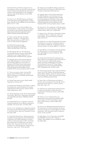25. Turan J et al. HIV/AIDS Stigma and Refusal of HIV Testing Among Pregnant Women in Rural Kenya: Results from the MAMAS Study, AIDS Behav (2011) 15:1111–1120.

26. No vaccine, no cure: HIV and AIDS in the United Kingdom. London, House of Lords Select Committee on HIV and AIDS, September 2011 (http://www.publications.parliament.uk/pa/ ld201012/ldselect/ldaids/188/188.pdf).

27. Geen J. Home HIV tests 'should be legalised'. Pink News, 11 October 2011 (http://www.pinknews.co.uk/2011/10/11/ home-hiv-tests-should-be-legalised/).

28. iTEACH-SA Facebook page (http://www.facebook.com/pages/ iTEACH-SA/98675643113?sk=info).

29. Mavedzenge SN et al. HIV self-testing among health workers. Geneva, World Health Organization, 2011 (http://libdoc.who.int/ publications/2011/9789241501033\_eng.pdf).

30. Progress report of the national response to the 2001 Declaration of Commitment on HIV and AIDS. Gaberone, Government of Botswana, 2010 (http://www.unaids.org/en/ dataanalysis/monitoringcountryprogress/2 010progressreportssubmittedbycountries/ botswana\_2010\_country\_progress\_report\_en.pdf).

31. Time to act: save a million lives by 2015. Geneva, Stop TB Partnership, Joint United Nations Programme on HIV/AIDS, World Health Organization, 2011.

32. Global Tuberculosis Control. World Health Organization, Geneva, 2011.

33. Antiretroviral therapy for HIV infection in adults and adolescents: recommendations for a public health approach (2010 revision). Geneva, World Health Organization, 2010.

34. TB Day Newsletter. South African National AIDS Commission. March 2011. (www.sanac.org.za/files/ uploaded/6996\_Newsletter\_TB%20Day\_Mar28\_ ALL.pdf)

35. Schwartlander B et al. Towards an improved investment approach for an effective response to HIV/AIDS. The Lancet, 2011, 377:2031–2041.

36. Kim J et al. Developing an integrated model for post-rape care and HIV post-exposure prophylaxis in rural South Africa. New York, Population Council, November 2007.

37. Kesho Bora Study Group. Triple-antiretroviral prophylaxis during pregnancy and breastfeeding compared to short-ARV prophylaxis to prevent mother-to-child transmission of HIV-1: the Kesho Bora randomized controlled trial in five sites in Burkina Faso, Kenya and South Africa. 5th IAS Conference on HIV Pathogenesis, Treatment and Prevention, Cape Town, 19–22 July 2010.

38. Pregnancy and childbirth. Atlanta, Centers for Disease Control and Prevention, 2007 (http://www. cdc.gov/hiv/topics/perinatal/index.htm).

39. Progress report of the national response to the 2001 Declaration of Commitment on HIV and AIDS. Gaborone, Botswana National AIDS Coordinating Agency, 2010 (http://www.unaids. org/en/dataanalysis/monitoringcountryprogre ss/2010progressreportssubmittedbycountries/ botswana\_2010\_country\_progress\_report\_en.pdf).

40. Gray R et al. The contribution of HIV-discordant relationships to new HIV infections in Rakai, Uganda (research letter). AIDS, 2011, 25:863–865.

41. Eyawo O et al. HIV status in discordant couples in sub-Saharan Africa: a systematic review and meta-analysis. The Lancet Infectious Diseases, 2010, 10:770–777.

42. Dunkle KL et al. New heterosexually transmitted HIV infections in married or cohabiting couples in urban Zambia and Rwanda: an analysis of survey and clinical data. The Lancet, 2008, 371:1183–2191.

43. Grant RM et al. Pre-exposure chemoprophylaxis for HIV prevention in men who have sex with men. New England Journal of Medicine, 2010, 363:2587–2599.

44. Pivotal study finds that HIV medications are highly effective as prophylaxis against HIV infection in men and women in Africa [press release]. Seattle, University of Washington International Clinical Research Center, 2011 (http://depts. washington.edu/uwicrc/research/studies/files/ PrEP\_PressRelease-UW\_13Jul2011.pdf).

45. CDC trial and another major study find PrEP can reduce risk of HIV infection among heterosexuals [press release]. Atlanta, Centers for Disease Control and Protection, 2011 (http://www.cdc.gov/nchhstp/ newsroom/PrEPHeterosexuals.html).

46. Karim QA et al. Effectiveness and safety of tenofovir gel, an antiretroviral microbicide, for the prevention of HIV infection in women. Science, 2010, 329:1168–1174.

47. Smith RJ et al. Evaluating the potential impact of vaginal microbicides to reduce the risk of acquiring HIV in female sex workers. AIDS, 2005, 19:413–421.

48. Pretorius C et al. Evaluating the cost effectiveness of pre-exposure prophylaxis (PrEP) and its impact on HIV-1 transmission in South Africa. Public Library of Science ONE, 2010, 5:e13646.

49. Foss A et al. Modeling the potential impact on HIV transmission of rectal microbicide use by men who have sex with men, and the effects of condom substitution. XVIII International AIDS Conference, Vienna, 18–23 July 2010.

50. Rerks-Ngarm S et al. Vaccination with ALVAC and AIDSVAX to prevent HIV-1 infection in Thailand. New England Journal of Medicine, 2009, 361:2209–2220.